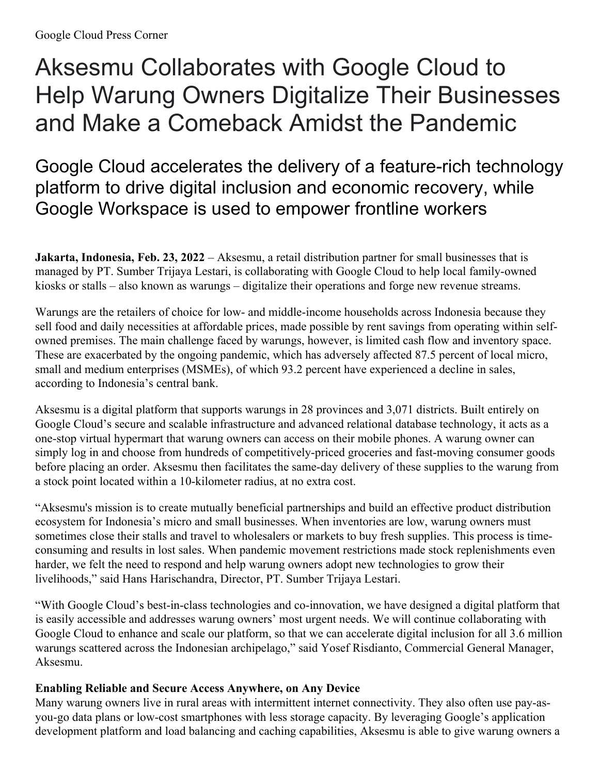## Aksesmu Collaborates with Google Cloud to Help Warung Owners Digitalize Their Businesses and Make a Comeback Amidst the Pandemic

Google Cloud accelerates the delivery of a feature-rich technology platform to drive digital inclusion and economic recovery, while Google Workspace is used to empower frontline workers

**Jakarta, Indonesia, Feb. 23, 2022** – Aksesmu, a retail distribution partner for small businesses that is managed by PT. Sumber Trijaya Lestari, is collaborating with Google Cloud to help local family-owned kiosks or stalls – also known as warungs – digitalize their operations and forge new revenue streams.

Warungs are the retailers of choice for low- and middle-income households across Indonesia because they sell food and daily necessities at affordable prices, made possible by rent savings from operating within selfowned premises. The main challenge faced by warungs, however, is limited cash flow and inventory space. These are exacerbated by the ongoing pandemic, which has adversely affected 87.5 percent of local micro, small and medium enterprises (MSMEs), of which 93.2 percent have experienced a decline in sales, according to Indonesia's central bank.

Aksesmu is a digital platform that supports warungs in 28 provinces and 3,071 districts. Built entirely on Google Cloud's secure and scalable infrastructure and advanced relational database technology, it acts as a one-stop virtual hypermart that warung owners can access on their mobile phones. A warung owner can simply log in and choose from hundreds of competitively-priced groceries and fast-moving consumer goods before placing an order. Aksesmu then facilitates the same-day delivery of these supplies to the warung from a stock point located within a 10-kilometer radius, at no extra cost.

"Aksesmu's mission is to create mutually beneficial partnerships and build an effective product distribution ecosystem for Indonesia's micro and small businesses. When inventories are low, warung owners must sometimes close their stalls and travel to wholesalers or markets to buy fresh supplies. This process is timeconsuming and results in lost sales. When pandemic movement restrictions made stock replenishments even harder, we felt the need to respond and help warung owners adopt new technologies to grow their livelihoods," said Hans Harischandra, Director, PT. Sumber Trijaya Lestari.

"With Google Cloud's best-in-class technologies and co-innovation, we have designed a digital platform that is easily accessible and addresses warung owners' most urgent needs. We will continue collaborating with Google Cloud to enhance and scale our platform, so that we can accelerate digital inclusion for all 3.6 million warungs scattered across the Indonesian archipelago," said Yosef Risdianto, Commercial General Manager, Aksesmu.

## **Enabling Reliable and Secure Access Anywhere, on Any Device**

Many warung owners live in rural areas with intermittent internet connectivity. They also often use pay-asyou-go data plans or low-cost smartphones with less storage capacity. By leveraging Google's application development platform and load balancing and caching capabilities, Aksesmu is able to give warung owners a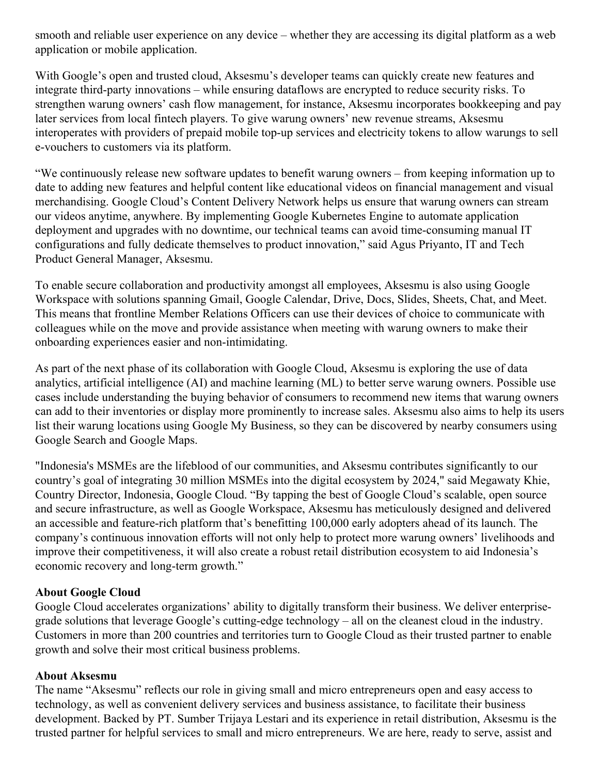smooth and reliable user experience on any device – whether they are accessing its digital platform as a web application or mobile application.

With Google's open and trusted cloud, Aksesmu's developer teams can quickly create new features and integrate third-party innovations – while ensuring dataflows are encrypted to reduce security risks. To strengthen warung owners' cash flow management, for instance, Aksesmu incorporates bookkeeping and pay later services from local fintech players. To give warung owners' new revenue streams, Aksesmu interoperates with providers of prepaid mobile top-up services and electricity tokens to allow warungs to sell e-vouchers to customers via its platform.

"We continuously release new software updates to benefit warung owners – from keeping information up to date to adding new features and helpful content like educational videos on financial management and visual merchandising. Google Cloud's Content Delivery Network helps us ensure that warung owners can stream our videos anytime, anywhere. By implementing Google Kubernetes Engine to automate application deployment and upgrades with no downtime, our technical teams can avoid time-consuming manual IT configurations and fully dedicate themselves to product innovation," said Agus Priyanto, IT and Tech Product General Manager, Aksesmu.

To enable secure collaboration and productivity amongst all employees, Aksesmu is also using Google Workspace with solutions spanning Gmail, Google Calendar, Drive, Docs, Slides, Sheets, Chat, and Meet. This means that frontline Member Relations Officers can use their devices of choice to communicate with colleagues while on the move and provide assistance when meeting with warung owners to make their onboarding experiences easier and non-intimidating.

As part of the next phase of its collaboration with Google Cloud, Aksesmu is exploring the use of data analytics, artificial intelligence (AI) and machine learning (ML) to better serve warung owners. Possible use cases include understanding the buying behavior of consumers to recommend new items that warung owners can add to their inventories or display more prominently to increase sales. Aksesmu also aims to help its users list their warung locations using Google My Business, so they can be discovered by nearby consumers using Google Search and Google Maps.

"Indonesia's MSMEs are the lifeblood of our communities, and Aksesmu contributes significantly to our country's goal of integrating 30 million MSMEs into the digital ecosystem by 2024," said Megawaty Khie, Country Director, Indonesia, Google Cloud. "By tapping the best of Google Cloud's scalable, open source and secure infrastructure, as well as Google Workspace, Aksesmu has meticulously designed and delivered an accessible and feature-rich platform that's benefitting 100,000 early adopters ahead of its launch. The company's continuous innovation efforts will not only help to protect more warung owners' livelihoods and improve their competitiveness, it will also create a robust retail distribution ecosystem to aid Indonesia's economic recovery and long-term growth."

## **About Google Cloud**

Google Cloud accelerates organizations' ability to digitally transform their business. We deliver enterprisegrade solutions that leverage Google's cutting-edge technology – all on the cleanest cloud in the industry. Customers in more than 200 countries and territories turn to Google Cloud as their trusted partner to enable growth and solve their most critical business problems.

## **About Aksesmu**

The name "Aksesmu" reflects our role in giving small and micro entrepreneurs open and easy access to technology, as well as convenient delivery services and business assistance, to facilitate their business development. Backed by PT. Sumber Trijaya Lestari and its experience in retail distribution, Aksesmu is the trusted partner for helpful services to small and micro entrepreneurs. We are here, ready to serve, assist and